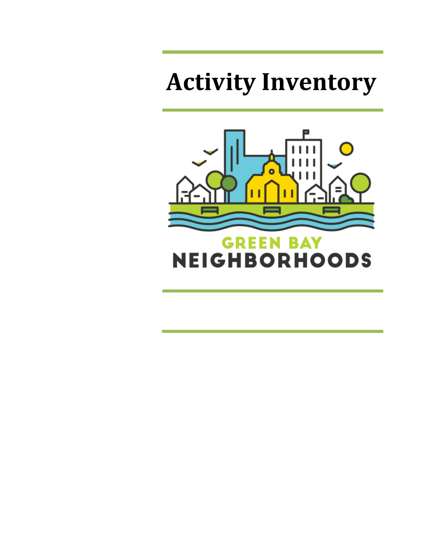# **Activity Inventory**

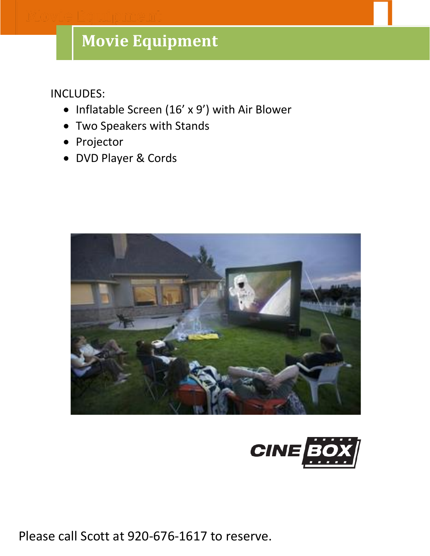# **Movie Equipment**

INCLUDES:

- Inflatable Screen (16' x 9') with Air Blower
- Two Speakers with Stands
- Projector
- DVD Player & Cords





Please call Scott at 920-676-1617 to reserve.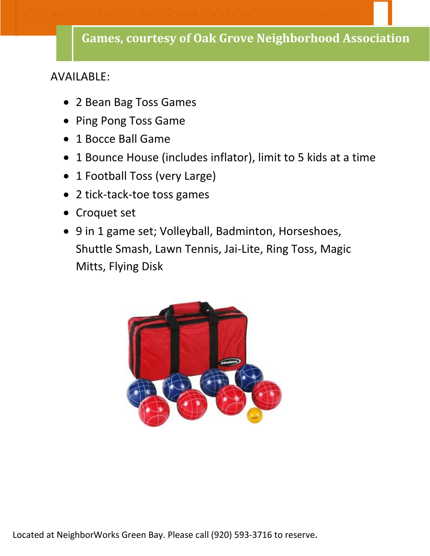### AVAILABLE:

- 2 Bean Bag Toss Games
- Ping Pong Toss Game
- 1 Bocce Ball Game
- 1 Bounce House (includes inflator), limit to 5 kids at a time
- 1 Football Toss (very Large)
- 2 tick-tack-toe toss games
- Croquet set
- 9 in 1 game set; Volleyball, Badminton, Horseshoes, Shuttle Smash, Lawn Tennis, Jai-Lite, Ring Toss, Magic Mitts, Flying Disk



Located at NeighborWorks Green Bay. Please call (920) 593-3716 to reserve.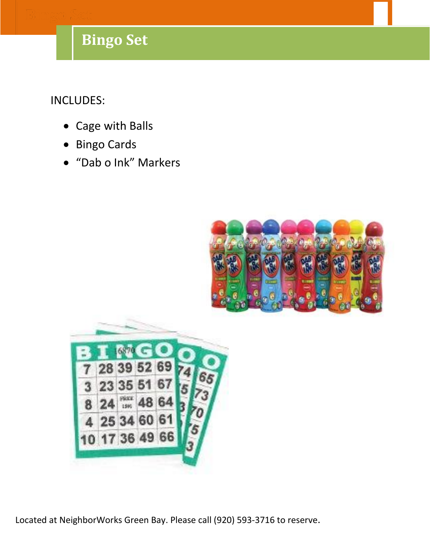# **Games Bingo Set**

INCLUDES:

- Cage with Balls
- Bingo Cards
- "Dab o Ink" Markers





Located at City Hall. Please call William Peters at (920) 448-3150 to reserve. Located at NeighborWorks Green Bay. Please call (920) 593-3716 to reserve.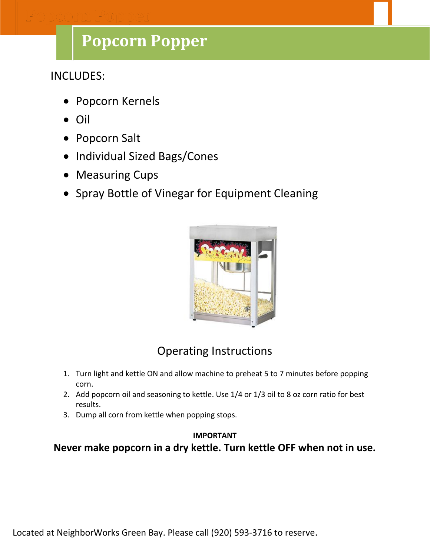# **Popcorn Popper**

INCLUDES:

- Popcorn Kernels
- Oil
- Popcorn Salt
- Individual Sized Bags/Cones
- Measuring Cups
- Spray Bottle of Vinegar for Equipment Cleaning



### Operating Instructions

- 1. Turn light and kettle ON and allow machine to preheat 5 to 7 minutes before popping corn.
- 2. Add popcorn oil and seasoning to kettle. Use 1/4 or 1/3 oil to 8 oz corn ratio for best results.
- 3. Dump all corn from kettle when popping stops.

#### **IMPORTANT**

**Never make popcorn in a dry kettle. Turn kettle OFF when not in use.**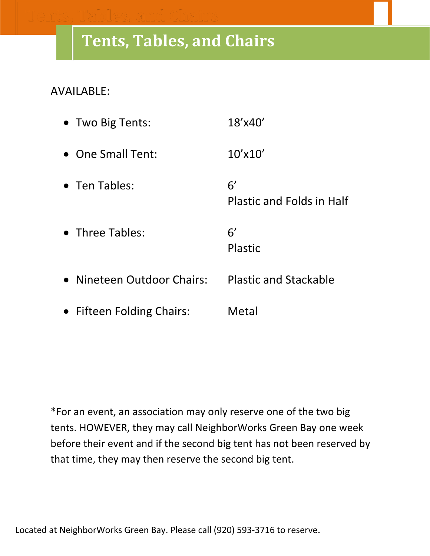# **Tents, Tables, and Chairs**

### AVAILABLE:

| • Two Big Tents:           | 18'x40'                                |
|----------------------------|----------------------------------------|
| • One Small Tent:          | $10'$ x $10'$                          |
| • Ten Tables:              | 6'<br><b>Plastic and Folds in Half</b> |
| • Three Tables:            | 6'<br><b>Plastic</b>                   |
| • Nineteen Outdoor Chairs: | <b>Plastic and Stackable</b>           |
| • Fifteen Folding Chairs:  | Metal                                  |

\*For an event, an association may only reserve one of the two big tents. HOWEVER, they may call NeighborWorks Green Bay one week before their event and if the second big tent has not been reserved by that time, they may then reserve the second big tent.

Located at NeighborWorks Green Bay. Please call (920) 593-3716 to reserve.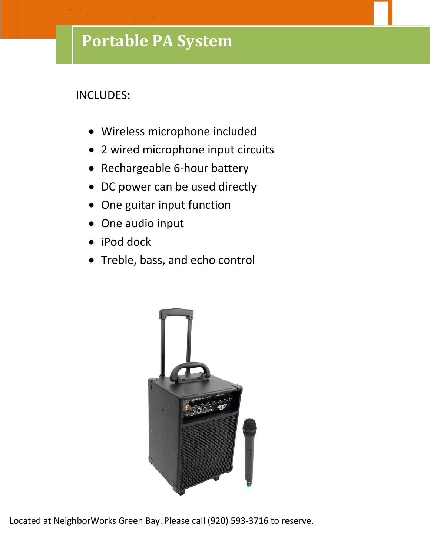### **Portable PA System**

### INCLUDES:

- Wireless microphone included
- 2 wired microphone input circuits
- Rechargeable 6-hour battery
- DC power can be used directly
- One guitar input function
- One audio input
- iPod dock
- Treble, bass, and echo control



Located at City Hall. Please call William Peters at (920) 448-3150 to reserve. Located at NeighborWorks Green Bay. Please call (920) 593-3716 to reserve.